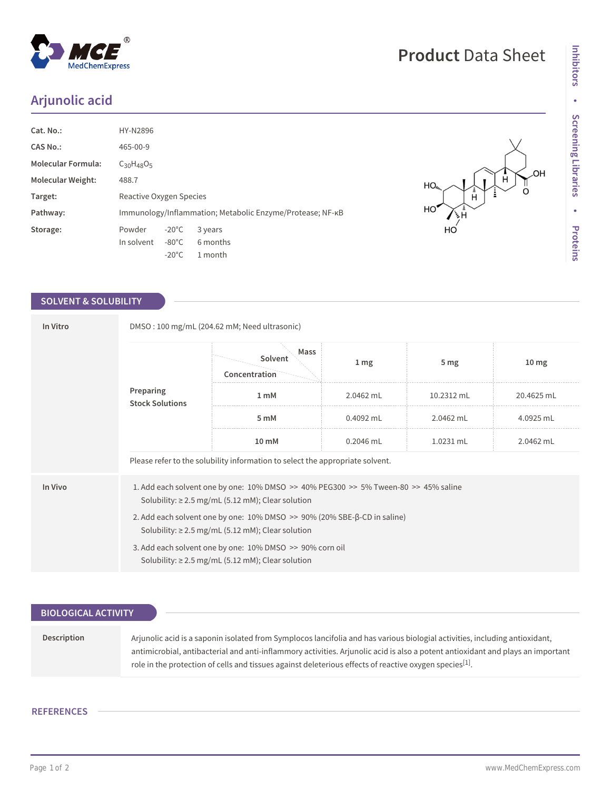## **Arjunolic acid**

| Cat. No.:                | HY-N2896                                                  |                 |          |  |  |
|--------------------------|-----------------------------------------------------------|-----------------|----------|--|--|
| CAS No.:                 | 465-00-9                                                  |                 |          |  |  |
| Molecular Formula:       | $C_{30}H_{48}O_5$                                         |                 |          |  |  |
| <b>Molecular Weight:</b> | 488.7                                                     |                 |          |  |  |
| Target:                  | Reactive Oxygen Species                                   |                 |          |  |  |
| Pathway:                 | Immunology/Inflammation; Metabolic Enzyme/Protease; NF-KB |                 |          |  |  |
| Storage:                 | Powder                                                    | $-20^{\circ}$ C | 3 years  |  |  |
|                          | In solvent                                                | $-80^{\circ}$ C | 6 months |  |  |
|                          |                                                           | $-20^{\circ}$ C | 1 month  |  |  |

## **SOLVENT & SOLUBILITY**

| In Vitro  | DMSO: 100 mg/mL (204.62 mM; Need ultrasonic)                                                                                                      |                                  |                  |                 |                  |  |  |
|-----------|---------------------------------------------------------------------------------------------------------------------------------------------------|----------------------------------|------------------|-----------------|------------------|--|--|
| Preparing |                                                                                                                                                   | Mass<br>Solvent<br>Concentration | $1 \, \text{mg}$ | 5 <sub>mg</sub> | 10 <sub>mg</sub> |  |  |
|           | <b>Stock Solutions</b>                                                                                                                            | 1 <sub>m</sub> M                 | 2.0462 mL        | 10.2312 mL      | 20.4625 mL       |  |  |
|           |                                                                                                                                                   | 5 mM                             | 0.4092 mL        | 2.0462 mL       | 4.0925 mL        |  |  |
|           |                                                                                                                                                   | $10 \text{ mM}$                  | $0.2046$ mL      | 1.0231 mL       | 2.0462 mL        |  |  |
|           | Please refer to the solubility information to select the appropriate solvent.                                                                     |                                  |                  |                 |                  |  |  |
| In Vivo   | 1. Add each solvent one by one: 10% DMSO >> 40% PEG300 >> 5% Tween-80 >> 45% saline<br>Solubility: $\geq$ 2.5 mg/mL (5.12 mM); Clear solution     |                                  |                  |                 |                  |  |  |
|           | 2. Add each solvent one by one: $10\%$ DMSO $\geq$ 90% (20% SBE- $\beta$ -CD in saline)<br>Solubility: $\geq$ 2.5 mg/mL (5.12 mM); Clear solution |                                  |                  |                 |                  |  |  |
|           | 3. Add each solvent one by one: 10% DMSO >> 90% corn oil<br>Solubility: $\geq$ 2.5 mg/mL (5.12 mM); Clear solution                                |                                  |                  |                 |                  |  |  |

| <b>BIOLOGICAL ACTIVITY</b> |                                                                                                                                                                                                                                                                                                                                                                                       |
|----------------------------|---------------------------------------------------------------------------------------------------------------------------------------------------------------------------------------------------------------------------------------------------------------------------------------------------------------------------------------------------------------------------------------|
|                            |                                                                                                                                                                                                                                                                                                                                                                                       |
| Description                | Arjunolic acid is a saponin isolated from Symplocos lancifolia and has various biologial activities, including antioxidant,<br>antimicrobial, antibacterial and anti-inflammory activities. Arjunolic acid is also a potent antioxidant and plays an important<br>role in the protection of cells and tissues against deleterious effects of reactive oxygen species <sup>[1]</sup> . |

## **REFERENCES**

HO

HO

нó

OH.  $\frac{1}{\mathsf{O}}$ 

Ė

Ĥ